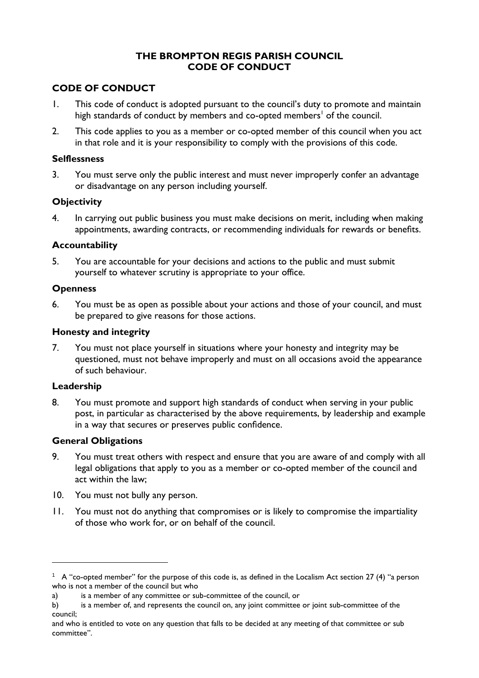## **THE BROMPTON REGIS PARISH COUNCIL CODE OF CONDUCT**

# **CODE OF CONDUCT**

- 1. This code of conduct is adopted pursuant to the council's duty to promote and maintain high standards of conduct by members and co-opted members<sup>1</sup> of the council.
- 2. This code applies to you as a member or co-opted member of this council when you act in that role and it is your responsibility to comply with the provisions of this code.

#### **Selflessness**

3. You must serve only the public interest and must never improperly confer an advantage or disadvantage on any person including yourself.

## **Objectivity**

4. In carrying out public business you must make decisions on merit, including when making appointments, awarding contracts, or recommending individuals for rewards or benefits.

## **Accountability**

5. You are accountable for your decisions and actions to the public and must submit yourself to whatever scrutiny is appropriate to your office.

## **Openness**

6. You must be as open as possible about your actions and those of your council, and must be prepared to give reasons for those actions.

## **Honesty and integrity**

7. You must not place yourself in situations where your honesty and integrity may be questioned, must not behave improperly and must on all occasions avoid the appearance of such behaviour.

## **Leadership**

8. You must promote and support high standards of conduct when serving in your public post, in particular as characterised by the above requirements, by leadership and example in a way that secures or preserves public confidence.

## **General Obligations**

- 9. You must treat others with respect and ensure that you are aware of and comply with all legal obligations that apply to you as a member or co-opted member of the council and act within the law;
- 10. You must not bully any person.
- 11. You must not do anything that compromises or is likely to compromise the impartiality of those who work for, or on behalf of the council.

<sup>1</sup> A "co-opted member" for the purpose of this code is, as defined in the Localism Act section 27 (4) "a person who is not a member of the council but who

a) is a member of any committee or sub-committee of the council, or

b) is a member of, and represents the council on, any joint committee or joint sub-committee of the council;

and who is entitled to vote on any question that falls to be decided at any meeting of that committee or sub committee".